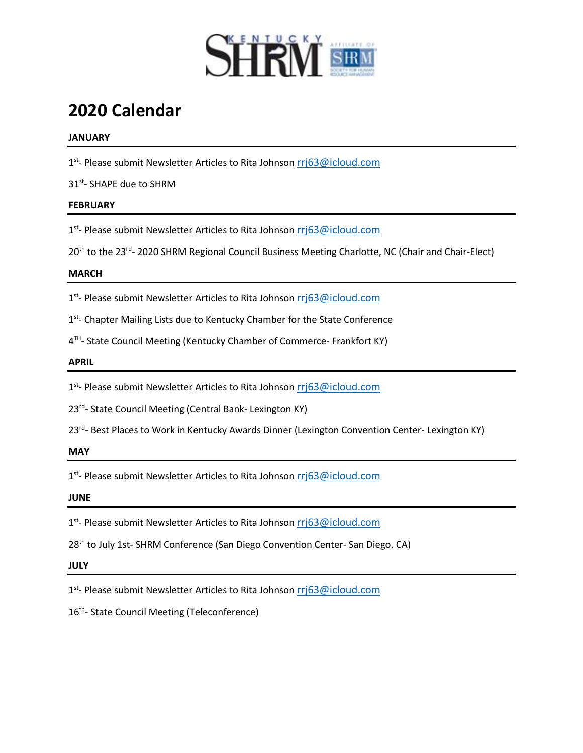

# **2020 Calendar**

### **JANUARY**

1<sup>st</sup>- Please submit Newsletter Articles to Rita Johnson [rrj63@icloud.com](mailto:rrj63@icloud.com)

31st - SHAPE due to SHRM

## **FEBRUARY**

1<sup>st</sup>- Please submit Newsletter Articles to Rita Johnson [rrj63@icloud.com](mailto:rrj63@icloud.com)

20<sup>th</sup> to the 23<sup>rd</sup>- 2020 SHRM Regional Council Business Meeting Charlotte, NC (Chair and Chair-Elect)

#### **MARCH**

1<sup>st</sup>- Please submit Newsletter Articles to Rita Johnson [rrj63@icloud.com](mailto:rrj63@icloud.com)

1<sup>st</sup>- Chapter Mailing Lists due to Kentucky Chamber for the State Conference

4<sup>TH</sup>- State Council Meeting (Kentucky Chamber of Commerce- Frankfort KY)

#### **APRIL**

1<sup>st</sup>- Please submit Newsletter Articles to Rita Johnson *[rrj63@icloud.com](mailto:rrj63@icloud.com)* 

23<sup>rd</sup>- State Council Meeting (Central Bank- Lexington KY)

23<sup>rd</sup>- Best Places to Work in Kentucky Awards Dinner (Lexington Convention Center- Lexington KY)

**MAY**

1<sup>st</sup>- Please submit Newsletter Articles to Rita Johnson *[rrj63@icloud.com](mailto:rrj63@icloud.com)* 

**JUNE**

1<sup>st</sup>- Please submit Newsletter Articles to Rita Johnson [rrj63@icloud.com](mailto:rrj63@icloud.com)

28<sup>th</sup> to July 1st- SHRM Conference (San Diego Convention Center- San Diego, CA)

**JULY**

1<sup>st</sup>- Please submit Newsletter Articles to Rita Johnson [rrj63@icloud.com](mailto:rrj63@icloud.com)

16<sup>th</sup>- State Council Meeting (Teleconference)